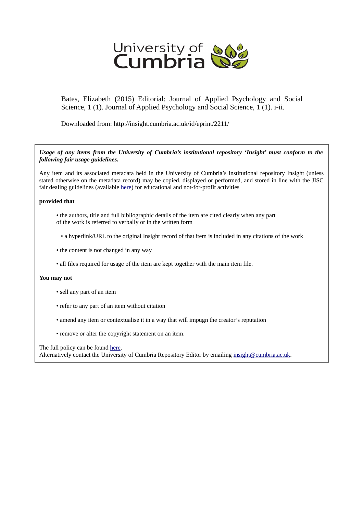

Bates, Elizabeth (2015) Editorial: Journal of Applied Psychology and Social Science, 1 (1). Journal of Applied Psychology and Social Science, 1 (1). i-ii.

Downloaded from: http://insight.cumbria.ac.uk/id/eprint/2211/

*Usage of any items from the University of Cumbria's institutional repository 'Insight' must conform to the following fair usage guidelines.*

Any item and its associated metadata held in the University of Cumbria's institutional repository Insight (unless stated otherwise on the metadata record) may be copied, displayed or performed, and stored in line with the JISC fair dealing guidelines (available [here\)](http://www.ukoln.ac.uk/services/elib/papers/pa/fair/) for educational and not-for-profit activities

## **provided that**

- the authors, title and full bibliographic details of the item are cited clearly when any part of the work is referred to verbally or in the written form
	- a hyperlink/URL to the original Insight record of that item is included in any citations of the work
- the content is not changed in any way
- all files required for usage of the item are kept together with the main item file.

## **You may not**

- sell any part of an item
- refer to any part of an item without citation
- amend any item or contextualise it in a way that will impugn the creator's reputation
- remove or alter the copyright statement on an item.

The full policy can be found [here.](http://insight.cumbria.ac.uk/legal.html#section5)

Alternatively contact the University of Cumbria Repository Editor by emailing [insight@cumbria.ac.uk.](mailto:insight@cumbria.ac.uk)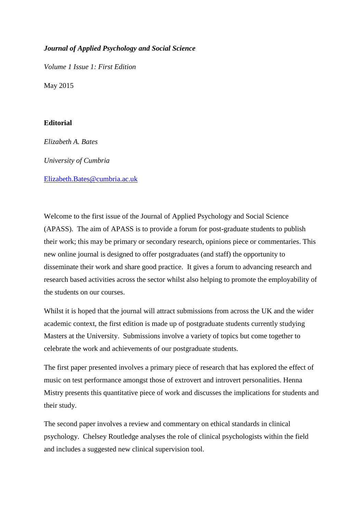## *Journal of Applied Psychology and Social Science*

*Volume 1 Issue 1: First Edition*

May 2015

## **Editorial**

*Elizabeth A. Bates University of Cumbria* [Elizabeth.Bates@cumbria.ac.uk](mailto:Elizabeth.Bates@cumbria.ac.uk)

Welcome to the first issue of the Journal of Applied Psychology and Social Science (APASS). The aim of APASS is to provide a forum for post-graduate students to publish their work; this may be primary or secondary research, opinions piece or commentaries. This new online journal is designed to offer postgraduates (and staff) the opportunity to disseminate their work and share good practice. It gives a forum to advancing research and research based activities across the sector whilst also helping to promote the employability of the students on our courses.

Whilst it is hoped that the journal will attract submissions from across the UK and the wider academic context, the first edition is made up of postgraduate students currently studying Masters at the University. Submissions involve a variety of topics but come together to celebrate the work and achievements of our postgraduate students.

The first paper presented involves a primary piece of research that has explored the effect of music on test performance amongst those of extrovert and introvert personalities. Henna Mistry presents this quantitative piece of work and discusses the implications for students and their study.

The second paper involves a review and commentary on ethical standards in clinical psychology. Chelsey Routledge analyses the role of clinical psychologists within the field and includes a suggested new clinical supervision tool.